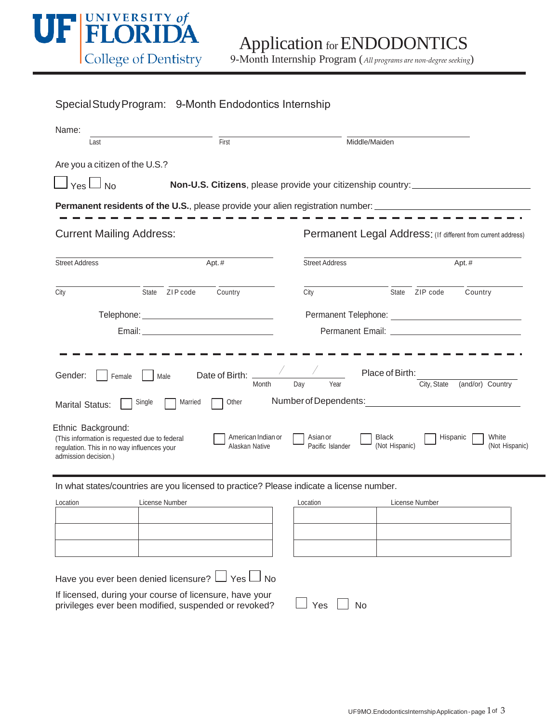

9-Month Internship Program (*All programs are non-degree seeking*)

| Special Study Program: 9-Month Endodontics Internship                                                                                                                                                                                                                                                                                                                                                                                                                                             |                    |                                                                                  |                |         |
|---------------------------------------------------------------------------------------------------------------------------------------------------------------------------------------------------------------------------------------------------------------------------------------------------------------------------------------------------------------------------------------------------------------------------------------------------------------------------------------------------|--------------------|----------------------------------------------------------------------------------|----------------|---------|
| Name:<br>Last                                                                                                                                                                                                                                                                                                                                                                                                                                                                                     | $\overline{First}$ | Middle/Maiden                                                                    |                |         |
| Are you a citizen of the U.S.?                                                                                                                                                                                                                                                                                                                                                                                                                                                                    |                    |                                                                                  |                |         |
| $\Box$ Yes $\Box$ No                                                                                                                                                                                                                                                                                                                                                                                                                                                                              |                    | Non-U.S. Citizens, please provide your citizenship country: ____________________ |                |         |
| <b>Permanent residents of the U.S.</b> , please provide your alien registration number: ______________________________                                                                                                                                                                                                                                                                                                                                                                            |                    |                                                                                  |                |         |
| <b>Current Mailing Address:</b>                                                                                                                                                                                                                                                                                                                                                                                                                                                                   |                    | Permanent Legal Address: (If different from current address)                     |                |         |
| Apt.#<br><b>Street Address</b>                                                                                                                                                                                                                                                                                                                                                                                                                                                                    |                    | <b>Street Address</b>                                                            |                | Apt.#   |
| City<br>State ZIP code                                                                                                                                                                                                                                                                                                                                                                                                                                                                            | Country            | City                                                                             | State ZIP code | Country |
|                                                                                                                                                                                                                                                                                                                                                                                                                                                                                                   |                    |                                                                                  |                |         |
|                                                                                                                                                                                                                                                                                                                                                                                                                                                                                                   |                    |                                                                                  |                |         |
| Place of Birth:<br>Date of Birth:<br>Gender:<br>Female<br>Male<br>Year<br>City, State<br>(and/or) Country<br>Day<br>Month<br>Number of Dependents:<br>Other<br>Married<br>Single<br><b>Marital Status:</b><br>Ethnic Background:<br>American Indian or<br>Asian or<br>Black<br>Hispanic<br>White<br>(This information is requested due to federal<br>(Not Hispanic)<br>(Not Hispanic)<br>Alaskan Native<br>Pacific Islander<br>regulation. This in no way influences your<br>admission decision.) |                    |                                                                                  |                |         |
| In what states/countries are you licensed to practice? Please indicate a license number.                                                                                                                                                                                                                                                                                                                                                                                                          |                    |                                                                                  |                |         |
| License Number<br>Location                                                                                                                                                                                                                                                                                                                                                                                                                                                                        |                    | Location                                                                         | License Number |         |
|                                                                                                                                                                                                                                                                                                                                                                                                                                                                                                   |                    |                                                                                  |                |         |
|                                                                                                                                                                                                                                                                                                                                                                                                                                                                                                   |                    |                                                                                  |                |         |
| Have you ever been denied licensure? LJ Yes LJ No                                                                                                                                                                                                                                                                                                                                                                                                                                                 |                    |                                                                                  |                |         |
| If licensed, during your course of licensure, have your<br>Yes<br><b>No</b><br>privileges ever been modified, suspended or revoked?                                                                                                                                                                                                                                                                                                                                                               |                    |                                                                                  |                |         |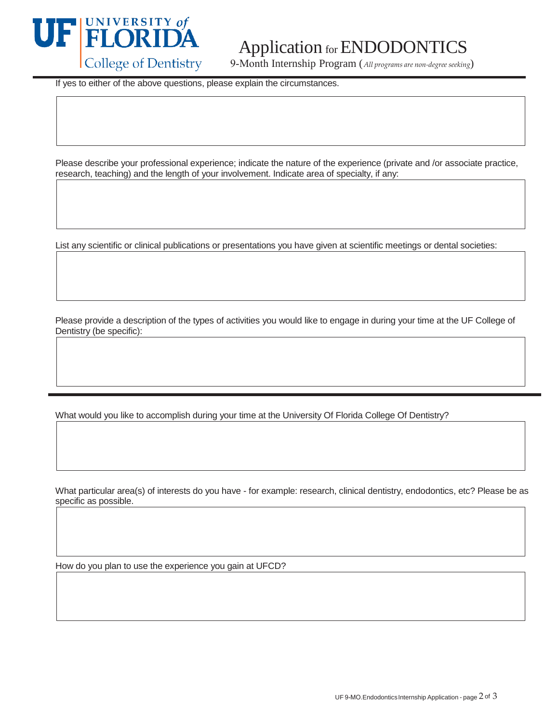

## Application for ENDODONTI

9-Month Internship Program (*All programs are non-degree seeking*)

If yes to either of the above questions, please explain the circumstances.

Please describe your professional experience; indicate the nature of the experience (private and /or associate practice, research, teaching) and the length of your involvement. Indicate area of specialty, if any:

List any scientific or clinical publications or presentations you have given at scientific meetings or dental societies:

Please provide a description of the types of activities you would like to engage in during your time at the UF College of Dentistry (be specific):

What would you like to accomplish during your time at the University Of Florida College Of Dentistry?

What particular area(s) of interests do you have - for example: research, clinical dentistry, endodontics, etc? Please be as specific as possible.

How do you plan to use the experience you gain at UFCD?